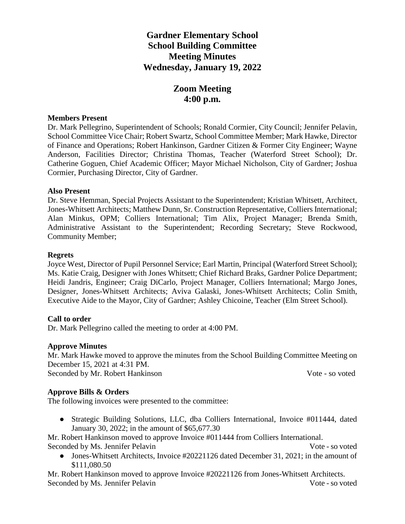# **Gardner Elementary School School Building Committee Meeting Minutes Wednesday, January 19, 2022**

# **Zoom Meeting 4:00 p.m.**

#### **Members Present**

Dr. Mark Pellegrino, Superintendent of Schools; Ronald Cormier, City Council; Jennifer Pelavin, School Committee Vice Chair; Robert Swartz, School Committee Member; Mark Hawke, Director of Finance and Operations; Robert Hankinson, Gardner Citizen & Former City Engineer; Wayne Anderson, Facilities Director; Christina Thomas, Teacher (Waterford Street School); Dr. Catherine Goguen, Chief Academic Officer; Mayor Michael Nicholson, City of Gardner; Joshua Cormier, Purchasing Director, City of Gardner.

#### **Also Present**

Dr. Steve Hemman, Special Projects Assistant to the Superintendent; Kristian Whitsett, Architect, Jones-Whitsett Architects; Matthew Dunn, Sr. Construction Representative, Colliers International; Alan Minkus, OPM; Colliers International; Tim Alix, Project Manager; Brenda Smith, Administrative Assistant to the Superintendent; Recording Secretary; Steve Rockwood, Community Member;

#### **Regrets**

Joyce West, Director of Pupil Personnel Service; Earl Martin, Principal (Waterford Street School); Ms. Katie Craig, Designer with Jones Whitsett; Chief Richard Braks, Gardner Police Department; Heidi Jandris, Engineer; Craig DiCarlo, Project Manager, Colliers International; Margo Jones, Designer, Jones-Whitsett Architects; Aviva Galaski, Jones-Whitsett Architects; Colin Smith, Executive Aide to the Mayor, City of Gardner; Ashley Chicoine, Teacher (Elm Street School).

#### **Call to order**

Dr. Mark Pellegrino called the meeting to order at 4:00 PM.

#### **Approve Minutes**

Mr. Mark Hawke moved to approve the minutes from the School Building Committee Meeting on December 15, 2021 at 4:31 PM. Seconded by Mr. Robert Hankinson Vote - so voted

#### **Approve Bills & Orders**

The following invoices were presented to the committee:

● Strategic Building Solutions, LLC, dba Colliers International, Invoice #011444, dated January 30, 2022; in the amount of \$65,677.30

Mr. Robert Hankinson moved to approve Invoice #011444 from Colliers International. Seconded by Ms. Jennifer Pelavin Vote - so voted

• Jones-Whitsett Architects, Invoice #20221126 dated December 31, 2021; in the amount of \$111,080.50

Mr. Robert Hankinson moved to approve Invoice #20221126 from Jones-Whitsett Architects. Seconded by Ms. Jennifer Pelavin Vote - so voted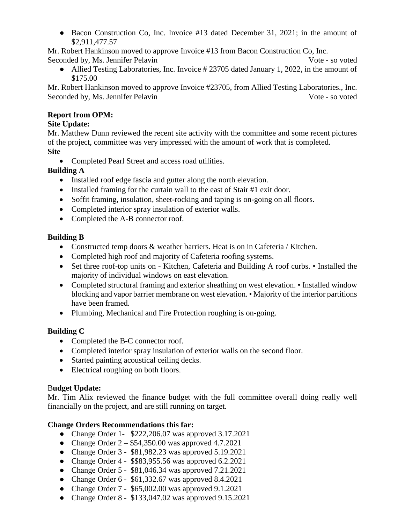● Bacon Construction Co, Inc. Invoice #13 dated December 31, 2021; in the amount of \$2,911,477.57

Mr. Robert Hankinson moved to approve Invoice #13 from Bacon Construction Co, Inc. Seconded by, Ms. Jennifer Pelavin Vote - so voted

• Allied Testing Laboratories, Inc. Invoice # 23705 dated January 1, 2022, in the amount of \$175.00

Mr. Robert Hankinson moved to approve Invoice #23705, from Allied Testing Laboratories., Inc. Seconded by, Ms. Jennifer Pelavin Vote - so voted

#### **Report from OPM:**

#### **Site Update:**

Mr. Matthew Dunn reviewed the recent site activity with the committee and some recent pictures of the project, committee was very impressed with the amount of work that is completed. **Site**

• Completed Pearl Street and access road utilities.

# **Building A**

- Installed roof edge fascia and gutter along the north elevation.
- Installed framing for the curtain wall to the east of Stair #1 exit door.
- Soffit framing, insulation, sheet-rocking and taping is on-going on all floors.
- Completed interior spray insulation of exterior walls.
- Completed the A-B connector roof.

# **Building B**

- Constructed temp doors & weather barriers. Heat is on in Cafeteria / Kitchen.
- Completed high roof and majority of Cafeteria roofing systems.
- Set three roof-top units on Kitchen, Cafeteria and Building A roof curbs. Installed the majority of individual windows on east elevation.
- Completed structural framing and exterior sheathing on west elevation. Installed window blocking and vapor barrier membrane on west elevation. • Majority of the interior partitions have been framed.
- Plumbing, Mechanical and Fire Protection roughing is on-going.

# **Building C**

- Completed the B-C connector roof.
- Completed interior spray insulation of exterior walls on the second floor.
- Started painting acoustical ceiling decks.
- Electrical roughing on both floors.

# B**udget Update:**

Mr. Tim Alix reviewed the finance budget with the full committee overall doing really well financially on the project, and are still running on target.

# **Change Orders Recommendations this far:**

- Change Order 1- \$222,206.07 was approved 3.17.2021
- Change Order  $2 $54,350.00$  was approved 4.7.2021
- Change Order 3 \$81,982.23 was approved 5.19.2021
- Change Order 4 \$\$83,955.56 was approved 6.2.2021
- Change Order 5 \$81,046.34 was approved 7.21.2021
- Change Order  $6 $61,332.67$  was approved  $8.4.2021$
- Change Order 7 \$65,002.00 was approved 9.1.2021
- Change Order 8 \$133,047.02 was approved 9.15.2021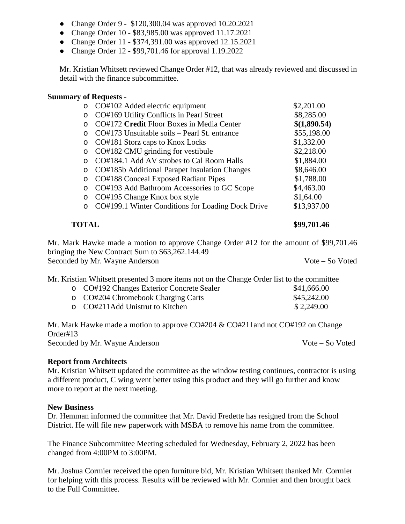- Change Order 9 \$120,300.04 was approved 10.20.2021
- Change Order 10 \$83,985.00 was approved 11.17.2021
- Change Order 11 \$374,391.00 was approved 12.15.2021
- Change Order 12 \$99,701.46 for approval 1.19.2022

Mr. Kristian Whitsett reviewed Change Order #12, that was already reviewed and discussed in detail with the finance subcommittee.

# **Summary of Requests** -

| $\circ$ | CO#102 Added electric equipment                   | \$2,201.00   |
|---------|---------------------------------------------------|--------------|
| $\circ$ | CO#169 Utility Conflicts in Pearl Street          | \$8,285.00   |
| ∩       | CO#172 Credit Floor Boxes in Media Center         | \$(1,890.54) |
| ∩       | CO#173 Unsuitable soils – Pearl St. entrance      | \$55,198.00  |
| $\circ$ | CO#181 Storz caps to Knox Locks                   | \$1,332.00   |
| $\circ$ | CO#182 CMU grinding for vestibule                 | \$2,218.00   |
| $\cap$  | CO#184.1 Add AV strobes to Cal Room Halls         | \$1,884.00   |
| $\circ$ | CO#185b Additional Parapet Insulation Changes     | \$8,646.00   |
| $\circ$ | CO#188 Conceal Exposed Radiant Pipes              | \$1,788.00   |
| ∩       | CO#193 Add Bathroom Accessories to GC Scope       | \$4,463.00   |
| $\circ$ | CO#195 Change Knox box style                      | \$1,64.00    |
| ∩       | CO#199.1 Winter Conditions for Loading Dock Drive | \$13,937.00  |
|         |                                                   |              |

**TOTAL** \$99,701.46

Mr. Mark Hawke made a motion to approve Change Order #12 for the amount of \$99,701.46 bringing the New Contract Sum to \$63,262.144.49 Seconded by Mr. Wayne Anderson Vote – So Voted

Mr. Kristian Whitsett presented 3 more items not on the Change Order list to the committee

| o CO#192 Changes Exterior Concrete Sealer | \$41,666.00 |
|-------------------------------------------|-------------|
| o CO#204 Chromebook Charging Carts        | \$45,242.00 |
| $\circ$ CO#211Add Unistrut to Kitchen     | \$2,249.00  |

Mr. Mark Hawke made a motion to approve CO#204 & CO#211and not CO#192 on Change Order#13 Seconded by Mr. Wayne Anderson Vote – So Voted

# **Report from Architects**

Mr. Kristian Whitsett updated the committee as the window testing continues, contractor is using a different product, C wing went better using this product and they will go further and know more to report at the next meeting.

# **New Business**

Dr. Hemman informed the committee that Mr. David Fredette has resigned from the School District. He will file new paperwork with MSBA to remove his name from the committee.

The Finance Subcommittee Meeting scheduled for Wednesday, February 2, 2022 has been changed from 4:00PM to 3:00PM.

Mr. Joshua Cormier received the open furniture bid, Mr. Kristian Whitsett thanked Mr. Cormier for helping with this process. Results will be reviewed with Mr. Cormier and then brought back to the Full Committee.